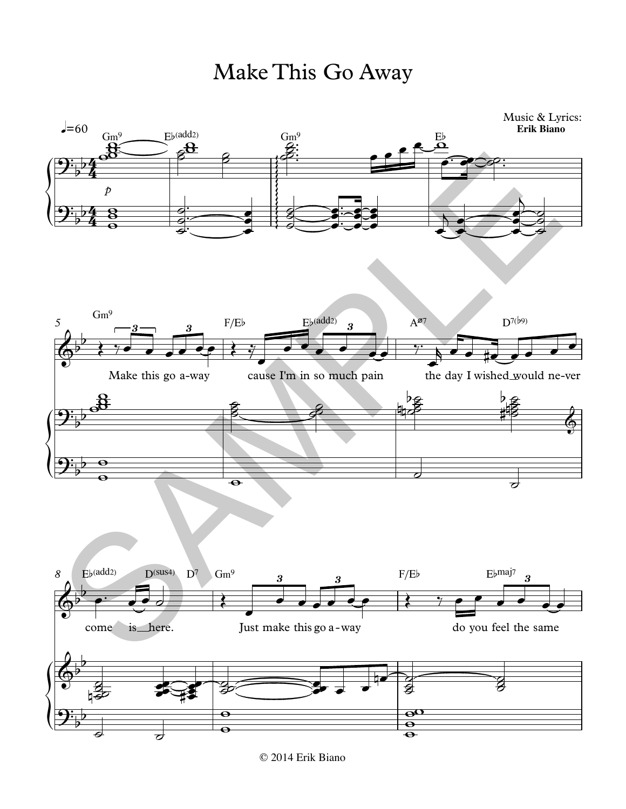



<sup>© 2014</sup> Erik Biano